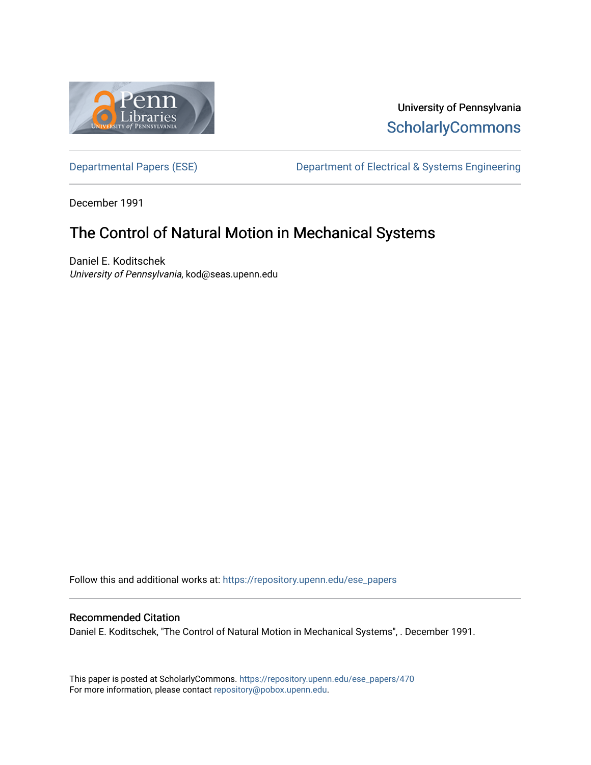

University of Pennsylvania **ScholarlyCommons** 

[Departmental Papers \(ESE\)](https://repository.upenn.edu/ese_papers) Department of Electrical & Systems Engineering

December 1991

# The Control of Natural Motion in Mechanical Systems

Daniel E. Koditschek University of Pennsylvania, kod@seas.upenn.edu

Follow this and additional works at: [https://repository.upenn.edu/ese\\_papers](https://repository.upenn.edu/ese_papers?utm_source=repository.upenn.edu%2Fese_papers%2F470&utm_medium=PDF&utm_campaign=PDFCoverPages)

## Recommended Citation

Daniel E. Koditschek, "The Control of Natural Motion in Mechanical Systems", . December 1991.

This paper is posted at ScholarlyCommons. [https://repository.upenn.edu/ese\\_papers/470](https://repository.upenn.edu/ese_papers/470) For more information, please contact [repository@pobox.upenn.edu.](mailto:repository@pobox.upenn.edu)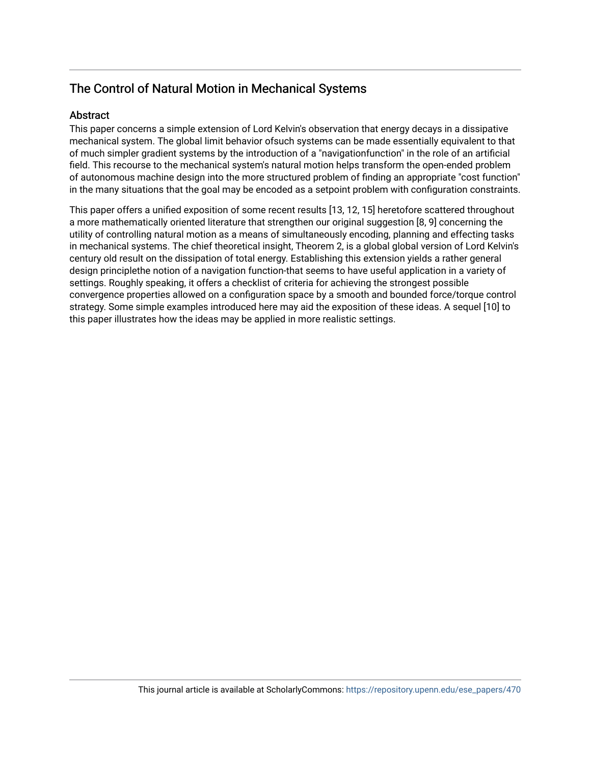## The Control of Natural Motion in Mechanical Systems

## **Abstract**

This paper concerns a simple extension of Lord Kelvin's observation that energy decays in a dissipative mechanical system. The global limit behavior ofsuch systems can be made essentially equivalent to that of much simpler gradient systems by the introduction of a "navigationfunction" in the role of an artificial field. This recourse to the mechanical system's natural motion helps transform the open-ended problem of autonomous machine design into the more structured problem of finding an appropriate "cost function" in the many situations that the goal may be encoded as a setpoint problem with configuration constraints.

This paper offers a unified exposition of some recent results [13, 12, 15] heretofore scattered throughout a more mathematically oriented literature that strengthen our original suggestion [8, 9] concerning the utility of controlling natural motion as a means of simultaneously encoding, planning and effecting tasks in mechanical systems. The chief theoretical insight, Theorem 2, is a global global version of Lord Kelvin's century old result on the dissipation of total energy. Establishing this extension yields a rather general design principlethe notion of a navigation function-that seems to have useful application in a variety of settings. Roughly speaking, it offers a checklist of criteria for achieving the strongest possible convergence properties allowed on a configuration space by a smooth and bounded force/torque control strategy. Some simple examples introduced here may aid the exposition of these ideas. A sequel [10] to this paper illustrates how the ideas may be applied in more realistic settings.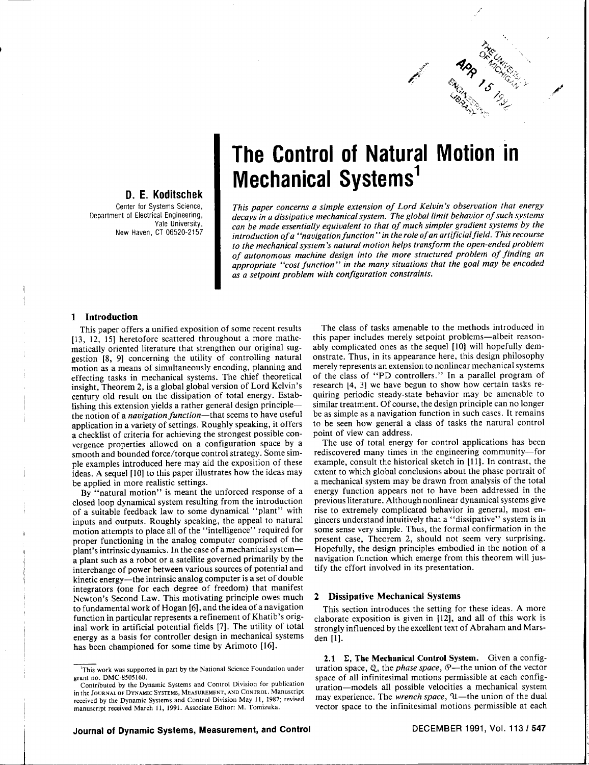

### D. E. Koditschek

Center for Systems Science, Department of Electrical Engineering, Yale University, New Haven, CT 06520-2157

# The Control of Natural Motion in Mechanical Systems<sup>1</sup>

This paper concerns a simple extension of Lord Kelvin's observation that energy decays in a dissipative mechanical system. The global limit behavior of such systems can be made essentially equivalent to that of much simpler gradient systems by the introduction of a "navigation function" in the role of an artificial field. This recourse to the mechanical system's natural motion helps transform the open-ended problem of autonomous machine design into the more structured problem of finding an appropriate "cost function" in the many situations that the goal may be encoded as a setpoint problem with configuration constraints.

#### 1 Introduction

This paper offers a unified exposition of some recent results [13, 12, 15] heretofore scattered throughout a more mathematically oriented literature that strengthen our original suggestion [8, 9] concerning the utility of controlling natural motion as a means of simultaneously encoding, planning and effecting tasks in mechanical systems. The chief theoretical insight, Theorem 2, is a global global version of Lord Kelvin's century old result on the dissipation of total energy. Establishing this extension yields a rather general design principlethe notion of a *navigation function*—that seems to have useful application in a variety of settings. Roughly speaking, it offers a checklist of criteria for achieving the strongest possible convergence properties allowed on a configuration space by a smooth and bounded force/torque control strategy. Some simple examples introduced here may aid the exposition of these ideas. A sequel [10] to this paper illustrates how the ideas may be applied in more realistic settings.

By "natural motion" is meant the unforced response of a closed loop dynamical system resulting from the introduction of a suitable feedback law to some dynamical "plant" with inputs and outputs. Roughly speaking, the appeal to natural motion attempts to place all of the "intelligence" required for proper functioning in the analog computer comprised of the plant's intrinsic dynamics. In the case of a mechanical system-a plant such as a robot or a satellite governed primarily by the interchange of power between various sources of potential and kinetic energy—the intrinsic analog computer is a set of double integrators (one for each degree of freedom) that manifest Newton's Second Law. This motivating principle owes much to fundamental work of Hogan [6], and the idea of a navigation function in particular represents a refinement of Khatib's original work in artificial potential fields [7]. The utility of total energy as a basis for controller design in mechanical systems has been championed for some time by Arimoto [16].

The class of tasks amenable to the methods introduced in this paper includes merely setpoint problems—albeit reasonably complicated ones as the sequel [10] will hopefully demonstrate. Thus, in its appearance here, this design philosophy merely represents an extension to nonlinear mechanical systems of the class of "PD controllers." In a parallel program of research [4, 3] we have begun to show how certain tasks requiring periodic steady-state behavior may be amenable to similar treatment. Of course, the design principle can no longer be as simple as a navigation function in such cases. It remains to be seen how general a class of tasks the natural control point of view can address.

The use of total energy for control applications has been rediscovered many times in the engineering community-for example, consult the historical sketch in [11]. In contrast, the extent to which global conclusions about the phase portrait of a mechanical system may be drawn from analysis of the total energy function appears not to have been addressed in the previous literature. Although nonlinear dynamical systems give rise to extremely complicated behavior in general, most engineers understand intuitively that a "dissipative" system is in some sense very simple. Thus, the formal confirmation in the present case, Theorem 2, should not seem very surprising. Hopefully, the design principles embodied in the notion of a navigation function which emerge from this theorem will justify the effort involved in its presentation.

#### 2 Dissipative Mechanical Systems

This section introduces the setting for these ideas. A more elaborate exposition is given in [12], and all of this work is strongly influenced by the excellent text of Abraham and Marsden [1].

2.1  $\Sigma$ , The Mechanical Control System. Given a configuration space,  $Q_{n}$ , the *phase space*,  $Q$ —the union of the vector space of all infinitesimal motions permissible at each configuration-models all possible velocities a mechanical system may experience. The wrench space, U-the union of the dual vector space to the infinitesimal motions permissible at each

<sup>&</sup>lt;sup>1</sup>This work was supported in part by the National Science Foundation under grant no. DMC-8505160.

Contributed by the Dynamic Systems and Control Division for publication in the JOURNAL OF DYNAMIC SYSTEMS, MEASUREMENT, AND CONTROL. Manuscript received by the Dynamic Systems and Control Division May 11, 1987; revised manuscript received March 11, 1991. Associate Editor: M. Tomizuka.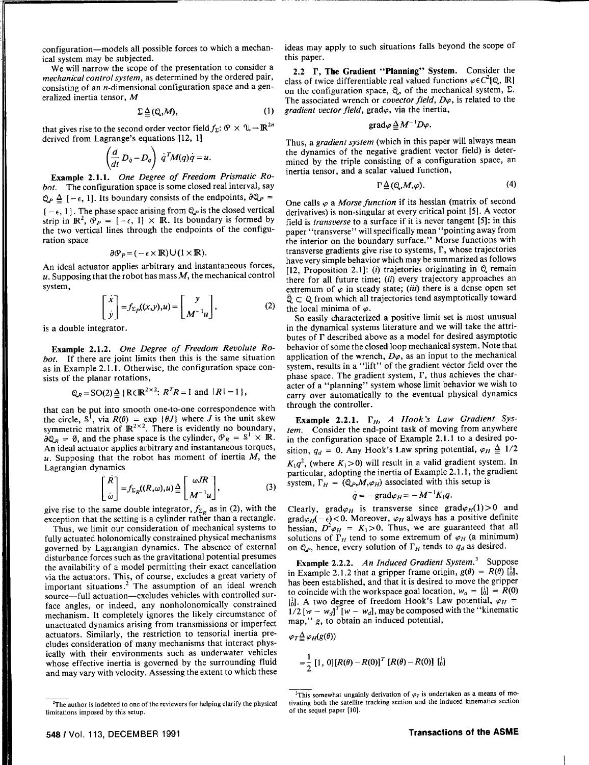configuration-models all possible forces to which a mechanical system may be subjected.

We will narrow the scope of the presentation to consider a mechanical control system, as determined by the ordered pair, consisting of an *n*-dimensional configuration space and a generalized inertia tensor,  $M$ 

$$
\Sigma \triangleq (\mathbb{Q}, M), \tag{1}
$$

that gives rise to the second order vector field  $f_{\Sigma}$ :  $\mathcal{P} \times \mathcal{U} - \mathbb{R}^{2n}$ derived from Lagrange's equations [12, 1]

$$
\left(\frac{d}{dt}\,D_{\dot{q}}-D_{q}\right)\,\dot{q}^{T}M(q)\dot{q}=u.
$$

Example 2.1.1. One Degree of Freedom Prismatic Robot. The configuration space is some closed real interval, say  $\mathbb{Q}_P \triangleq [-\epsilon, 1]$ . Its boundary consists of the endpoints,  $\partial \mathbb{Q}_P =$  $(-\epsilon, 1)$ . The phase space arising from  $\mathbb{Q}_P$  is the closed vertical strip in  $\mathbb{R}^2$ ,  $\mathcal{O}_P = [-\epsilon, 1] \times \mathbb{R}$ . Its boundary is formed by the two vertical lines through the endpoints of the configuration space

$$
\partial \mathcal{P}_P = (-\epsilon \times \mathbb{R}) \cup (1 \times \mathbb{R}).
$$

An ideal actuator applies arbitrary and instantaneous forces,  $u$ . Supposing that the robot has mass  $M$ , the mechanical control system,

$$
\begin{bmatrix} \dot{x} \\ \dot{y} \end{bmatrix} = f_{\Sigma p}((x, y), u) = \begin{bmatrix} y \\ M^{-1}u \end{bmatrix},
$$
 (2)

is a double integrator.

Example 2.1.2. One Degree of Freedom Revolute Robot. If there are joint limits then this is the same situation as in Example 2.1.1. Otherwise, the configuration space consists of the planar rotations,

$$
Q_R = SO(2) \triangleq \{ R \in \mathbb{R}^{2 \times 2}: R^T R = I \text{ and } |R| = 1 \},
$$

that can be put into smooth one-to-one correspondence with the circle,  $S^1$ , via  $R(\theta) = \exp{\{\theta J\}}$  where *J* is the unit skew symmetric matrix of  $\mathbb{R}^{2 \times 2}$ . There is evidently no boundary,  $\partial \mathcal{Q}_R = \emptyset$ , and the phase space is the cylinder,  $\mathcal{P}_R = \mathcal{S}^1 \times \mathbb{R}$ . An ideal actuator applies arbitrary and instantaneous torques,  $u$ . Supposing that the robot has moment of inertia  $M$ , the Lagrangian dynamics

$$
\begin{bmatrix} \dot{R} \\ \dot{\omega} \end{bmatrix} = f_{\Sigma_R}((R,\omega),u) \stackrel{\Delta}{=} \begin{bmatrix} \omega J R \\ M^{-1}u \end{bmatrix},
$$
 (3)

give rise to the same double integrator,  $f_{\Sigma_R}$  as in (2), with the exception that the setting is a cylinder rather than a rectangle.

Thus, we limit our consideration of mechanical systems to fully actuated holonomically constrained physical mechanisms governed by Lagrangian dynamics. The absence of external disturbance forces such as the gravitational potential presumes the availability of a model permitting their exact cancellation via the actuators. This, of course, excludes a great variety of important situations.<sup>2</sup> The assumption of an ideal wrench source-full actuation-excludes vehicles with controlled surface angles, or indeed, any nonholonomically constrained mechanism. It completely ignores the likely circumstance of unactuated dynamics arising from transmissions or imperfect actuators. Similarly, the restriction to tensorial inertia precludes consideration of many mechanisms that interact physically with their environments such as underwater vehicles whose effective inertia is governed by the surrounding fluid and may vary with velocity. Assessing the extent to which these ideas may apply to such situations falls beyond the scope of this paper.

2.2 F, The Gradient "Planning" System. Consider the class of twice differentiable real valued functions  $\varphi \in C^2[{\mathbb Q}, {\mathbb R}]$ on the configuration space,  $Q$ , of the mechanical system,  $\Sigma$ . The associated wrench or *covector field*,  $D\varphi$ , is related to the gradient vector field, grado, via the inertia,

$$
\text{grad}\varphi \Delta M^{-1}D\varphi.
$$

Thus, a gradient system (which in this paper will always mean the dynamics of the negative gradient vector field) is determined by the triple consisting of a configuration space, an inertia tensor, and a scalar valued function,

$$
\Gamma \stackrel{\Delta}{=} (\mathbb{Q}, M, \varphi). \tag{4}
$$

One calls  $\varphi$  a *Morse function* if its hessian (matrix of second derivatives) is non-singular at every critical point [5]. A vector field is *transverse* to a surface if it is never tangent [5]: in this paper "transverse" will specifically mean "pointing away from the interior on the boundary surface." Morse functions with transverse gradients give rise to systems,  $\Gamma$ , whose trajectories have very simple behavior which may be summarized as follows [12, Proposition 2.1]: (i) trajetories originating in  $Q$  remain there for all future time; (ii) every trajectory approaches an extremum of  $\varphi$  in steady state; (*iii*) there is a dense open set  $\tilde{Q} \subset Q$  from which all trajectories tend asymptotically toward the local minima of  $\varphi$ .

So easily characterized a positive limit set is most unusual in the dynamical systems literature and we will take the attributes of  $\Gamma$  described above as a model for desired asymptotic behavior of some the closed loop mechanical system. Note that application of the wrench,  $D\varphi$ , as an input to the mechanical system, results in a "lift" of the gradient vector field over the phase space. The gradient system,  $\Gamma$ , thus achieves the character of a "planning" system whose limit behavior we wish to carry over automatically to the eventual physical dynamics through the controller.

**Example 2.2.1.**  $\Gamma_H$ , A Hook's Law Gradient System. Consider the end-point task of moving from anywhere in the configuration space of Example 2.1.1 to a desired position,  $q_d = 0$ . Any Hook's Law spring potential,  $\varphi_H \triangleq 1/2$  $K_1q^2$ , (where  $K_1>0$ ) will result in a valid gradient system. In particular, adopting the inertia of Example 2.1.1, the gradient system,  $\Gamma_H = (Q_P, M, \varphi_H)$  associated with this setup is

$$
\dot{q} = -\text{grad}\varphi_H = -M^{-1}K_1q.
$$

Clearly, grad $\varphi_H$  is transverse since grad $\varphi_H(1) > 0$  and  $\text{grad}\varphi_H(-\epsilon)$  < 0. Moreover,  $\varphi_H$  always has a positive definite hessian,  $D^2\varphi_H = K_1 > 0$ . Thus, we are guaranteed that all solutions of  $\Gamma_H$  tend to some extremum of  $\varphi_H$  (a minimum) on  $\mathbb{Q}_P$ , hence, every solution of  $\Gamma_H$  tends to  $q_d$  as desired.

Example 2.2.2. An Induced Gradient System.<sup>3</sup> Suppose in Example 2.1.2 that a gripper frame origin,  $g(\theta) = R(\theta) \begin{bmatrix} 1 \\ 0 \end{bmatrix}$ , has been established, and that it is desired to move the gripper to coincide with the workspace goal location,  $w_d = \begin{bmatrix} 1 \\ 0 \end{bmatrix} = R(0)$  $\begin{bmatrix} 1 \\ 0 \end{bmatrix}$ . A two degree of freedom Hook's Law potential,  $\varphi_H$  =  $\int_1^{\infty} [w - w_d]^T [w - w_d]$ , may be composed with the "kinematic map," g, to obtain an induced potential,

$$
\mathfrak{D}_T \stackrel{\Delta}{=} \varphi_H(g(\theta))
$$

$$
= \frac{1}{2} [1, 0] [R(\theta) - R(0)]^T [R(\theta) - R(0)] [1]_0
$$

<sup>&</sup>lt;sup>2</sup>The author is indebted to one of the reviewers for helping clarify the physical limitations imposed by this setup.

<sup>&</sup>lt;sup>3</sup>This somewhat ungainly derivation of  $\varphi_T$  is undertaken as a means of motivating both the satellite tracking section and the induced kinematics section of the sequel paper [10].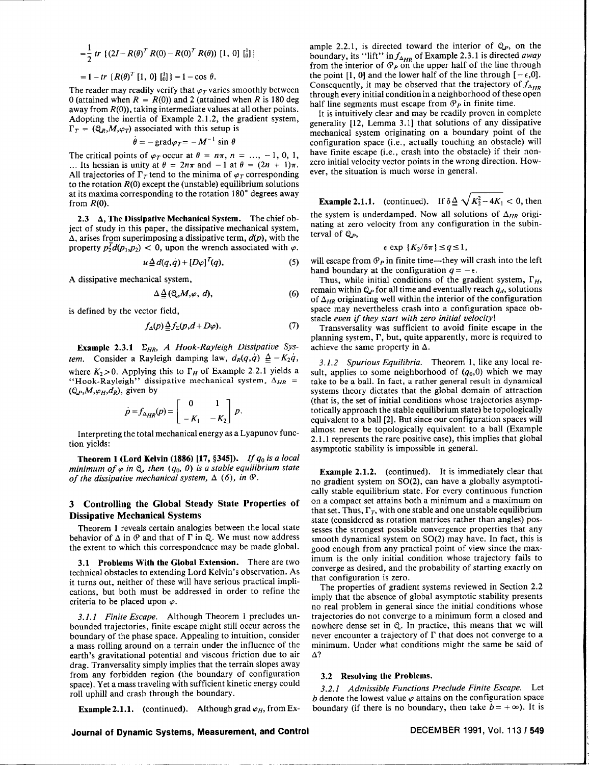$$
= \frac{1}{2} tr \left\{ (2I - R(\theta)^T R(0) - R(0)^T R(\theta)) [1, 0] \begin{bmatrix} 1 \\ 0 \end{bmatrix} \right\}
$$

$$
= 1 - tr \{ R(\theta)^{t} [1, 0] \left[ \begin{smallmatrix} 1 \\ 0 \end{smallmatrix} \right] = 1 - \cos \theta.
$$

The reader may readily verify that  $\varphi_T$  varies smoothly between 0 (attained when  $R = R(0)$ ) and 2 (attained when R is 180 deg away from  $R(0)$ , taking intermediate values at all other points. Adopting the inertia of Example 2.1.2, the gradient system,  $\Gamma_T = (Q_R, M, \varphi_T)$  associated with this setup is

$$
\theta = -\text{grad}\varphi_T = -M^{-1}\sin\theta
$$

The critical points of  $\varphi_T$  occur at  $\theta = n\pi$ ,  $n = ..., -1, 0, 1,$ ... Its hessian is unity at  $\theta = 2n\pi$  and  $-1$  at  $\theta = (2n + 1)\pi$ . All trajectories of  $\Gamma_T$  tend to the minima of  $\varphi_T$  corresponding to the rotation  $R(0)$  except the (unstable) equilibrium solutions at its maxima corresponding to the rotation 180° degrees away from  $R(0)$ .

2.3  $\Delta$ , The Dissipative Mechanical System. The chief object of study in this paper, the dissipative mechanical system,  $\Delta$ , arises from superimposing a dissipative term,  $d(p)$ , with the property  $p_2^T d(p_1, p_2) < 0$ , upon the wrench associated with  $\varphi$ .

$$
u \stackrel{\Delta}{=} d(q,q) + [D\varphi]'(q), \tag{5}
$$

A dissipative mechanical system,

$$
\Delta \stackrel{\Delta}{=} (\mathbb{Q}, M, \varphi, d), \tag{6}
$$

is defined by the vector field,

$$
f_{\Delta}(p) \underline{\Delta} f_{\Sigma}(p, d + D\varphi). \tag{7}
$$

Example 2.3.1  $\Sigma_{HR}$ , A Hook-Rayleigh Dissipative System. Consider a Rayleigh damping law,  $d_R(q, \dot{q}) \triangleq -K_2 \dot{q}$ , where  $K_2 > 0$ . Applying this to  $\Gamma_H$  of Example 2.2.1 yields a "Hook-Rayleigh" dissipative mechanical system,  $\Delta_{HR}$  =  $(Q_P, M, \varphi_H, d_R)$ , given by

$$
\dot{p} = f_{\Delta_{HR}}(p) = \begin{bmatrix} 0 & 1 \\ -K_1 & -K_2 \end{bmatrix} p.
$$

Interpreting the total mechanical energy as a Lyapunov function yields:

Theorem 1 (Lord Kelvin (1886) [17, §345]). If  $q_0$  is a local minimum of  $\varphi$  in  $\mathbb{Q}$ , then  $(q_0, 0)$  is a stable equilibrium state of the dissipative mechanical system,  $\Delta$  (6), in  $\Im$ .

#### 3 Controlling the Global Steady State Properties of **Dissipative Mechanical Systems**

Theorem 1 reveals certain analogies between the local state behavior of  $\Delta$  in  $\Theta$  and that of  $\Gamma$  in  $\mathbb Q$ . We must now address the extent to which this correspondence may be made global.

3.1 Problems With the Global Extension. There are two technical obstacles to extending Lord Kelvin's observation. As it turns out, neither of these will have serious practical implications, but both must be addressed in order to refine the criteria to be placed upon  $\varphi$ .

3.1.1 Finite Escape. Although Theorem 1 precludes unbounded trajectories, finite escape might still occur across the boundary of the phase space. Appealing to intuition, consider a mass rolling around on a terrain under the influence of the earth's gravitational potential and viscous friction due to air drag. Tranversality simply implies that the terrain slopes away from any forbidden region (the boundary of configuration space). Yet a mass traveling with sufficient kinetic energy could roll uphill and crash through the boundary.

**Example 2.1.1.** (continued). Although grad  $\varphi_H$ , from Ex-

ample 2.2.1, is directed toward the interior of  $\mathbb{Q}_P$ , on the boundary, its "lift" in  $f_{\Delta_{HR}}$  of Example 2.3.1 is directed *away* from the interior of  $\mathcal{P}_P$  on the upper half of the line through the point [1, 0] and the lower half of the line through  $[-\epsilon, 0]$ . Consequently, it may be observed that the trajectory of  $f_{\Delta_{HR}}$ through every initial condition in a neighborhood of these open half line segments must escape from  $\mathcal{P}_P$  in finite time.

It is intuitively clear and may be readily proven in complete generality [12, Lemma 3.1] that solutions of any dissipative mechanical system originating on a boundary point of the configuration space (i.e., actually touching an obstacle) will have finite escape (i.e., crash into the obstacle) if their nonzero initial velocity vector points in the wrong direction. However, the situation is much worse in general.

**Example 2.1.1.** (continued). If  $\delta \triangleq \sqrt{K_2^2 - 4K_1} < 0$ , then the system is underdamped. Now all solutions of  $\Delta_{HR}$  originating at zero velocity from any configuration in the subinterval of  $Q_P$ ,

$$
\epsilon \exp \{K_2/\delta \pi\} \leq q \leq 1,
$$

will escape from  $\mathcal{P}_P$  in finite time—they will crash into the left hand boundary at the configuration  $q = -\epsilon$ .

Thus, while initial conditions of the gradient system,  $\Gamma_H$ , remain within  $\mathbb{Q}_P$  for all time and eventually reach  $q_d$ , solutions of  $\Delta_{HR}$  originating well within the interior of the configuration space may nevertheless crash into a configuration space obstacle even if they start with zero initial velocity!

Transversality was sufficient to avoid finite escape in the planning system,  $\Gamma$ , but, quite apparently, more is required to achieve the same property in  $\Delta$ .

3.1.2 Spurious Equilibria. Theorem 1, like any local result, applies to some neighborhood of  $(q_0,0)$  which we may take to be a ball. In fact, a rather general result in dynamical systems theory dictates that the global domain of attraction (that is, the set of initial conditions whose trajectories asymptotically approach the stable equilibrium state) be topologically equivalent to a ball [2]. But since our configuration spaces will almost never be topologically equivalent to a ball (Example 2.1.1 represents the rare positive case), this implies that global asymptotic stability is impossible in general.

**Example 2.1.2.** (continued). It is immediately clear that no gradient system on SO(2), can have a globally asymptotically stable equilibrium state. For every continuous function on a compact set attains both a minimum and a maximum on that set. Thus,  $\Gamma_T$ , with one stable and one unstable equilibrium state (considered as rotation matrices rather than angles) possesses the strongest possible convergence properties that any smooth dynamical system on  $SO(2)$  may have. In fact, this is good enough from any practical point of view since the maximum is the only initial condition whose trajectory fails to converge as desired, and the probability of starting exactly on that configuration is zero.

The properties of gradient systems reviewed in Section 2.2 imply that the absence of global asymptotic stability presents no real problem in general since the initial conditions whose trajectories do not converge to a minimum form a closed and nowhere dense set in Q. In practice, this means that we will never encounter a trajectory of  $\Gamma$  that does not converge to a minimum. Under what conditions might the same be said of  $\Delta$ ?

#### 3.2 Resolving the Problems.

3.2.1 Admissible Functions Preclude Finite Escape. Let b denote the lowest value  $\varphi$  attains on the configuration space boundary (if there is no boundary, then take  $b = +\infty$ ). It is

Journal of Dynamic Systems, Measurement, and Control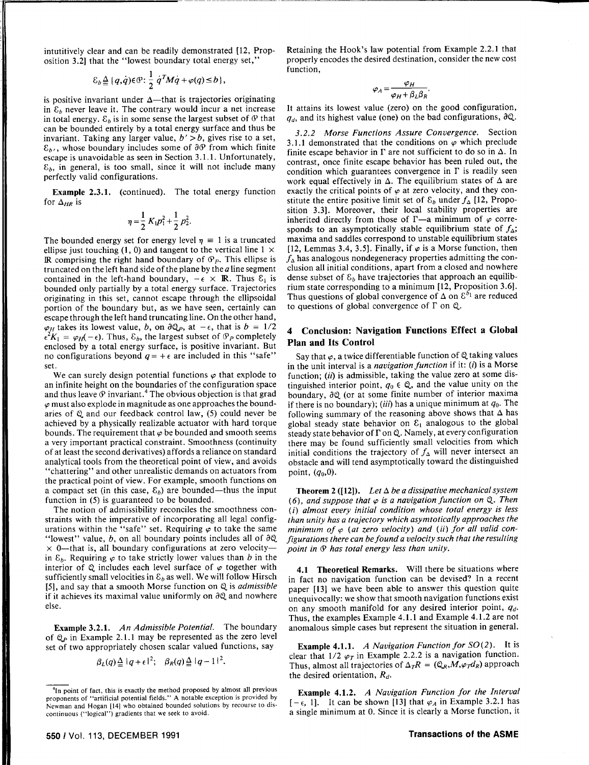intutitively clear and can be readily demonstrated [12, Proposition 3.2] that the "lowest boundary total energy set,"

$$
\mathcal{E}_b \stackrel{\Delta}{=} \{q, \dot{q}\} \in \mathcal{P}: \frac{1}{2} \dot{q}^T M \dot{q} + \varphi(q) \leq b\},\
$$

is positive invariant under  $\Delta$ —that is trajectories originating in  $\mathcal{E}_h$  never leave it. The contrary would incur a net increase in total energy.  $\mathcal{E}_b$  is in some sense the largest subset of  $\varPhi$  that can be bounded entirely by a total energy surface and thus be invariant. Taking any larger value,  $b' > b$ , gives rise to a set,  $\mathcal{E}_{b}$ , whose boundary includes some of  $\partial \mathcal{P}$  from which finite escape is unavoidable as seen in Section 3.1.1. Unfortunately,  $\mathcal{E}_b$ , in general, is too small, since it will not include many perfectly valid configurations.

Example 2.3.1. (continued). The total energy function for  $\Delta_{HR}$  is

$$
q = \frac{1}{2} K_1 p_1^2 + \frac{1}{2} p_2^2.
$$

The bounded energy set for energy level  $\eta = 1$  is a truncated ellipse just touching (1, 0) and tangent to the vertical line  $1 \times$ IR comprising the right hand boundary of  $\mathcal{P}_P$ . This ellipse is truncated on the left hand side of the plane by the  $a$  line segment contained in the left-hand boundary,  $-\epsilon \times \mathbb{R}$ . Thus  $\mathcal{E}_1$  is bounded only partially by a total energy surface. Trajectories originating in this set, cannot escape through the ellipsoidal portion of the boundary but, as we have seen, certainly can escape through the left hand truncating line. On the other hand,  $\varphi_H$  takes its lowest value, b, on  $\partial \mathbb{Q}_P$ , at  $-\epsilon$ , that is  $b = 1/2$  $\epsilon^2 K_1 = \varphi_H(-\epsilon)$ . Thus,  $\epsilon_b$ , the largest subset of  $\mathcal{P}_P$  completely enclosed by a total energy surface, is positive invariant. But no configurations beyond  $q = +\epsilon$  are included in this "safe" set.

We can surely design potential functions  $\varphi$  that explode to an infinite height on the boundaries of the configuration space and thus leave  $\varphi$  invariant.<sup>4</sup> The obvious objection is that grad  $\varphi$  must also explode in magnitude as one approaches the boundaries of Q and our feedback control law, (5) could never be achieved by a physically realizable actuator with hard torque bounds. The requirement that  $\varphi$  be bounded and smooth seems a very important practical constraint. Smoothness (continuity of at least the second derivatives) affords a reliance on standard analytical tools from the theoretical point of view, and avoids "chattering" and other unrealistic demands on actuators from the practical point of view. For example, smooth functions on a compact set (in this case,  $\mathcal{E}_b$ ) are bounded—thus the input function in (5) is guaranteed to be bounded.

The notion of admissibility reconciles the smoothness constraints with the imperative of incorporating all legal configurations within the "safe" set. Requiring  $\varphi$  to take the same "lowest" value, b, on all boundary points includes all of  $\partial Q$ .  $\times$  0—that is, all boundary configurations at zero velocity in  $\mathcal{E}_b$ . Requiring  $\varphi$  to take strictly lower values than b in the interior of Q includes each level surface of  $\varphi$  together with sufficiently small velocities in  $\mathcal{E}_b$  as well. We will follow Hirsch [5], and say that a smooth Morse function on  $Q_i$  is *admissible* if it achieves its maximal value uniformly on  $\partial Q$  and nowhere else.

**Example 3.2.1.** An Admissible Potential. The boundary of  $\mathbb{Q}_P$  in Example 2.1.1 may be represented as the zero level set of two appropriately chosen scalar valued functions, say

$$
\beta_L(q) \stackrel{\Delta}{=} |q + \epsilon|^2; \quad \beta_R(q) \stackrel{\Delta}{=} |q - 1|^2
$$

Retaining the Hook's law potential from Example 2.2.1 that properly encodes the desired destination, consider the new cost function,

$$
b_A = \frac{\varphi_H}{\varphi_H + \beta_L \beta_R}
$$

It attains its lowest value (zero) on the good configuration,  $q_d$ , and its highest value (one) on the bad configurations,  $\partial \mathbb{Q}$ .

3.2.2 Morse Functions Assure Convergence. Section 3.1.1 demonstrated that the conditions on  $\varphi$  which preclude finite escape behavior in  $\Gamma$  are not sufficient to do so in  $\Delta$ . In contrast, once finite escape behavior has been ruled out, the condition which guarantees convergence in  $\Gamma$  is readily seen work equal effectively in  $\Delta$ . The equilibrium states of  $\Delta$  are exactly the critical points of  $\varphi$  at zero velocity, and they constitute the entire positive limit set of  $\mathcal{E}_b$  under  $f_{\Delta}$  [12, Proposition 3.3]. Moreover, their local stability properties are inherited directly from those of  $\Gamma$ —a minimum of  $\varphi$  corresponds to an asymptotically stable equilibrium state of  $f_{\Delta}$ ; maxima and saddles correspond to unstable equilibrium states [12, Lemmas 3.4, 3.5]. Finally, if  $\varphi$  is a Morse function, then  $f_{\Delta}$  has analogous nondegeneracy properties admitting the conclusion all initial conditions, apart from a closed and nowhere dense subset of  $\varepsilon_b$  have trajectories that approach an equilibrium state corresponding to a minimum [12, Proposition 3.6]. Thus questions of global convergence of  $\Delta$  on  $\mathcal{E}^{b_1}$  are reduced to questions of global convergence of  $\Gamma$  on  $\mathbb{Q}$ .

#### 4 Conclusion: Navigation Functions Effect a Global **Plan and Its Control**

Say that  $\varphi$ , a twice differentiable function of Q taking values in the unit interval is a *navigation function* if it:  $(i)$  is a Morse function; (ii) is admissible, taking the value zero at some distinguished interior point,  $q_0 \in \mathbb{Q}$ , and the value unity on the boundary,  $\partial Q$  (or at some finite number of interior maxima if there is no boundary); (iii) has a unique minimum at  $q_0$ . The following summary of the reasoning above shows that  $\Delta$  has global steady state behavior on  $\mathcal{E}_1$  analogous to the global steady state behavior of  $\Gamma$  on Q. Namely, at every configuration there may be found sufficiently small velocities from which initial conditions the trajectory of  $f_{\Delta}$  will never intersect an obstacle and will tend asymptotically toward the distinguished point,  $(q_0,0)$ .

**Theorem 2** ([12]). Let  $\Delta$  be a dissipative mechanical system (6), and suppose that  $\varphi$  is a navigation function on Q. Then (i) almost every initial condition whose total energy is less than unity has a trajectory which asymtotically approaches the minimum of  $\varphi$  (at zero velocity) and (ii) for all valid configurations there can be found a velocity such that the resulting point in  $\Theta$  has total energy less than unity.

4.1 Theoretical Remarks. Will there be situations where in fact no navigation function can be devised? In a recent paper [13] we have been able to answer this question quite unequivocally: we show that smooth navigation functions exist on any smooth manifold for any desired interior point,  $q_d$ . Thus, the examples Example 4.1.1 and Example 4.1.2 are not anomalous simple cases but represent the situation in general.

**Example 4.1.1.** A Navigation Function for  $SO(2)$ . It is clear that  $1/2 \varphi_T$  in Example 2.2.2 is a navigation function. Thus, almost all trajectories of  $\Delta_T R = (\mathbb{Q}_R, M, \varphi_T d_R)$  approach the desired orientation,  $R_d$ .

**Example 4.1.2.** A Navigation Function for the Interval  $[-\epsilon, 1]$ . It can be shown [13] that  $\varphi_A$  in Example 3.2.1 has a single minimum at 0. Since it is clearly a Morse function, it

<sup>&</sup>lt;sup>4</sup>In point of fact, this is exactly the method proposed by almost all previous proponents of "artificial potential fields." A notable exception is provided by Newman and Hogan [14] who obtained bounded solutions by recourse to discontinuous ("logical") gradients that we seek to avoid.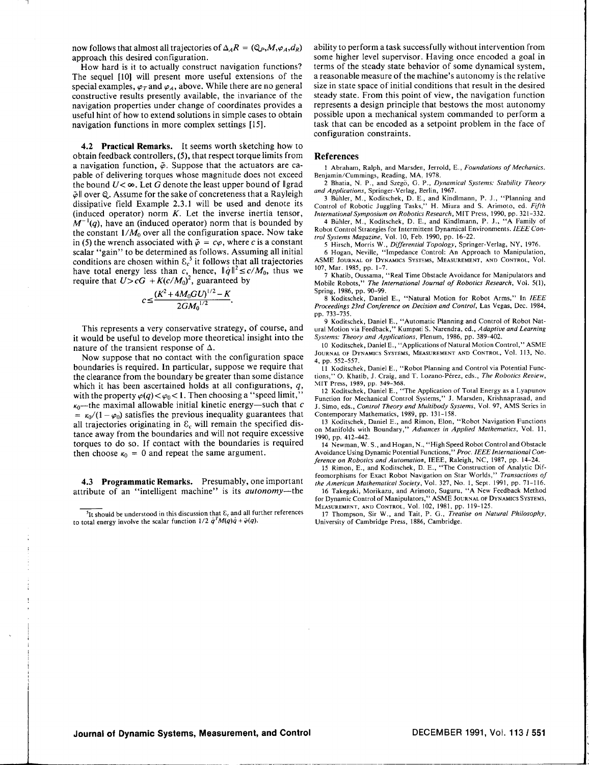now follows that almost all trajectories of  $\Delta_A R = (\mathbb{Q}_P, M, \varphi_A, d_R)$ approach this desired configuration.

How hard is it to actually construct navigation functions? The sequel [10] will present more useful extensions of the special examples,  $\varphi_T$  and  $\varphi_A$ , above. While there are no general constructive results presently available, the invariance of the navigation properties under change of coordinates provides a useful hint of how to extend solutions in simple cases to obtain navigation functions in more complex settings [15].

4.2 Practical Remarks. It seems worth sketching how to obtain feedback controllers, (5), that respect torque limits from a navigation function,  $\tilde{\varphi}$ . Suppose that the actuators are capable of delivering torques whose magnitude does not exceed the bound  $U<\infty$ . Let G denote the least upper bound of  $\parallel$ grad  $\tilde{\varphi}$  over Q. Assume for the sake of concreteness that a Rayleigh dissipative field Example 2.3.1 will be used and denote its (induced operator) norm  $K$ . Let the inverse inertia tensor,  $M^{-1}(q)$ , have an (induced operator) norm that is bounded by the constant  $1/M_0$  over all the configuration space. Now take in (5) the wrench associated with  $\tilde{\varphi} = c\varphi$ , where c is a constant scalar "gain" to be determined as follows. Assuming all initial conditions are chosen within  $\mathcal{E}_c^{\,5}$  it follows that all trajectories have total energy less than c, hence,  $\|q\|^2 \le c/M_0$ , thus we require that  $U > cG + K(c/M_0)^2$ , guaranteed by

$$
c \leq \frac{(K^2 + 4M_0GU)^{1/2} - K}{2GM_0^{1/2}}.
$$

This represents a very conservative strategy, of course, and it would be useful to develop more theoretical insight into the nature of the transient response of  $\Delta$ .

Now suppose that no contact with the configuration space boundaries is required. In particular, suppose we require that the clearance from the boundary be greater than some distance which it has been ascertained holds at all configurations,  $q$ , with the property  $\varphi(q) < \varphi_0 < 1$ . Then choosing a "speed limit,"  $\kappa_0$ —the maximal allowable initial kinetic energy—such that c  $= \kappa_0/(1-\varphi_0)$  satisfies the previous inequality guarantees that all trajectories originating in  $\varepsilon_c$  will remain the specified distance away from the boundaries and will not require excessive torques to do so. If contact with the boundaries is required then choose  $\kappa_0 = 0$  and repeat the same argument.

4.3 Programmatic Remarks. Presumably, one important attribute of an "intelligent machine" is its *autonomy*—the

<sup>5</sup>It should be understood in this discussion that  $\delta_c$  and all further references to total energy involve the scalar function  $1/2 \dot{q}^{T}M(q)q + \tilde{\varphi}(q)$ .

ability to perform a task successfully without intervention from some higher level supervisor. Having once encoded a goal in terms of the steady state behavior of some dynamical system, a reasonable measure of the machine's autonomy is the relative size in state space of initial conditions that result in the desired steady state. From this point of view, the navigation function represents a design principle that bestows the most autonomy possible upon a mechanical system commanded to perform a task that can be encoded as a setpoint problem in the face of configuration constraints.

#### **References**

1 Abraham, Ralph, and Marsden, Jerrold, E., Foundations of Mechanics. Benjamin/Cummings, Reading, MA, 1978.

2 Bhatia, N. P., and Szegö, G. P., Dynamical Systems: Stability Theory and Applications, Springer-Verlag, Berlin, 1967.

3 Bühler, M., Koditschek, D. E., and Kindlmann, P. J., "Planning and Control of Robotic Juggling Tasks," H. Miura and S. Arimoto, ed. Fifth *International Symposium on Robotics Research*, MIT Press, 1990, pp. 321-332.<br>4 Bühler, M., Koditschek, D. E., and Kindlmann, P. J., "A Family of

Robot Control Strategies for Intermittent Dynamical Environments. IEEE Control Systems Magazine, Vol. 10, Feb. 1990, pp. 16-22.

S Hirsch, Morris W., *Differential Topology*, Springer-Verlag, NY, 1976.<br>6 Hogan, Neville, "Impedance Control: An Approach to Manipulation, ASME JOURNAL OF DYNAMICS SYSTEMS, MEASUREMENT, AND CONTROL, Vol. 107, Mar. 1985, pp. 1-7.

7 Khatib, Oussama, "Real Time Obstacle Avoidance for Manipulators and Mobile Robots," The International Journal of Robotics Research, Vol. 5(1), Spring, 1986, pp. 90-99.

8 Koditschek, Daniel E., "Natural Motion for Robot Arms," In IEEE Proceedings 23rd Conference on Decision and Control, Las Vegas, Dec. 1984, pp. 733-735.

9 Koditschek, Daniel E., "Automatic Planning and Control of Robot Natural Motion via Feedback," Kumpati S. Narendra, ed., Adaptive and Learning Systems: Theory and Applications, Plenum, 1986, pp. 389-402.

10 Koditschek, Daniel E., "Applications of Natural Motion Control," ASME JOURNAL OF DYNAMICS SYSTEMS, MEASUREMENT AND CONTROL, Vol. 113, No. 4, pp. 552-557.

11 Koditschek, Daniel E., "Robot Planning and Control via Potential Func-' O. Khatib, J. Craig, and T. Lozano-Pérez, eds., The Robotics Review, tions. MIT Press, 1989, pp. 349-368.

12 Koditschek, Daniel E., "The Application of Total Energy as a Lyapunov Function for Mechanical Control Systems," J. Marsden, Krishnaprasad, and J. Simo, eds., Control Theory and Multibody Systems, Vol. 97, AMS Series in Contemporary Mathematics, 1989, pp. 131-158.

13 Koditschek, Daniel E., and Rimon, Elon, "Robot Navigation Functions on Manifolds with Boundary," Advances in Applied Mathematics, Vol. 11, 1990, pp. 412-442.

14 Newman, W. S., and Hogan, N., "High Speed Robot Control and Obstacle<br>Avoidance Using Dynamic Potential Functions," Proc. IEEE International Con-

Ference on Robotics and Automation, IEEE, Raleigh, NC, 1987, pp. 14-24.<br>15 Rimon, E., and Koditschek, D. E., "The Construction of Analytic Diffeomorphisms for Exact Robot Navigation on Star Worlds," Transactions of

the American Mathematical Society, Vol. 327, No. 1, Sept. 1991, pp. 71-116. 16 Takegaki, Morikazu, and Arimoto, Suguru, "A New Feedback Method for Dynamic Control of Manipulators," ASME JOURNAL OF DYNAMICS SYSTEMS, MEASUREMENT, AND CONTROL, Vol. 102, 1981, pp. 119-125.

17 Thompson, Sir W., and Tait, P. G., Treatise on Natural Philosophy, University of Cambridge Press, 1886, Cambridge.